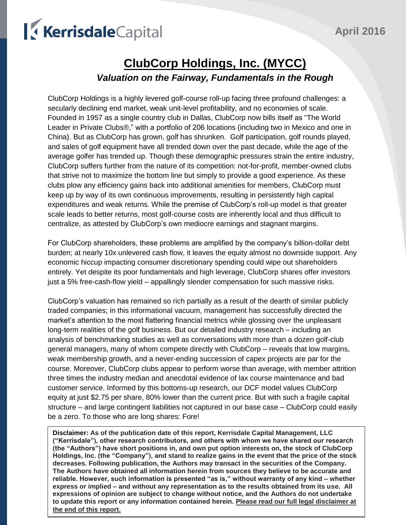# KerrisdaleCapital

### **ClubCorp Holdings, Inc. (MYCC)** *Valuation on the Fairway, Fundamentals in the Rough*

ClubCorp Holdings is a highly levered golf-course roll-up facing three profound challenges: a secularly declining end market, weak unit-level profitability, and no economies of scale. Founded in 1957 as a single country club in Dallas, ClubCorp now bills itself as "The World Leader in Private Clubs®," with a portfolio of 206 locations (including two in Mexico and one in China). But as ClubCorp has grown, golf has shrunken. Golf participation, golf rounds played, and sales of golf equipment have all trended down over the past decade, while the age of the average golfer has trended up. Though these demographic pressures strain the entire industry, ClubCorp suffers further from the nature of its competition: not-for-profit, member-owned clubs that strive not to maximize the bottom line but simply to provide a good experience. As these clubs plow any efficiency gains back into additional amenities for members, ClubCorp must keep up by way of its own continuous improvements, resulting in persistently high capital expenditures and weak returns. While the premise of ClubCorp's roll-up model is that greater scale leads to better returns, most golf-course costs are inherently local and thus difficult to centralize, as attested by ClubCorp's own mediocre earnings and stagnant margins.

For ClubCorp shareholders, these problems are amplified by the company's billion-dollar debt burden; at nearly 10x unlevered cash flow, it leaves the equity almost no downside support. Any economic hiccup impacting consumer discretionary spending could wipe out shareholders entirely. Yet despite its poor fundamentals and high leverage, ClubCorp shares offer investors just a 5% free-cash-flow yield – appallingly slender compensation for such massive risks.

ClubCorp's valuation has remained so rich partially as a result of the dearth of similar publicly traded companies; in this informational vacuum, management has successfully directed the market's attention to the most flattering financial metrics while glossing over the unpleasant long-term realities of the golf business. But our detailed industry research – including an analysis of benchmarking studies as well as conversations with more than a dozen golf-club general managers, many of whom compete directly with ClubCorp – reveals that low margins, weak membership growth, and a never-ending succession of capex projects are par for the course. Moreover, ClubCorp clubs appear to perform worse than average, with member attrition three times the industry median and anecdotal evidence of lax course maintenance and bad customer service. Informed by this bottoms-up research, our DCF model values ClubCorp equity at just \$2.75 per share, 80% lower than the current price. But with such a fragile capital structure – and large contingent liabilities not captured in our base case – ClubCorp could easily be a zero. To those who are long shares: Fore!

**Disclaimer: As of the publication date of this report, Kerrisdale Capital Management, LLC ("Kerrisdale"), other research contributors, and others with whom we have shared our research (the "Authors") have short positions in, and own put option interests on, the stock of ClubCorp Holdings, Inc. (the "Company"), and stand to realize gains in the event that the price of the stock decreases. Following publication, the Authors may transact in the securities of the Company. The Authors have obtained all information herein from sources they believe to be accurate and reliable. However, such information is presented "as is," without warranty of any kind – whether express or implied – and without any representation as to the results obtained from its use. All expressions of opinion are subject to change without notice, and the Authors do not undertake to update this report or any information contained herein. Please read our full legal disclaimer at the end of this report.**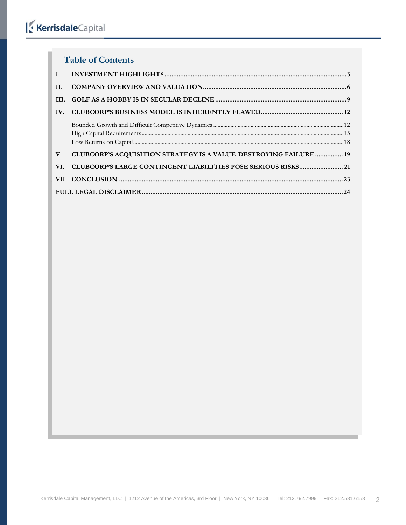## KerrisdaleCapital

#### **Table of Contents**

| H.  |                                                                         |
|-----|-------------------------------------------------------------------------|
| HL. |                                                                         |
| IV. |                                                                         |
|     |                                                                         |
| V.  | <b>CLUBCORP'S ACQUISITION STRATEGY IS A VALUE-DESTROYING FAILURE 19</b> |
| VI. | <b>CLUBCORP'S LARGE CONTINGENT LIABILITIES POSE SERIOUS RISKS 21</b>    |
|     |                                                                         |
|     |                                                                         |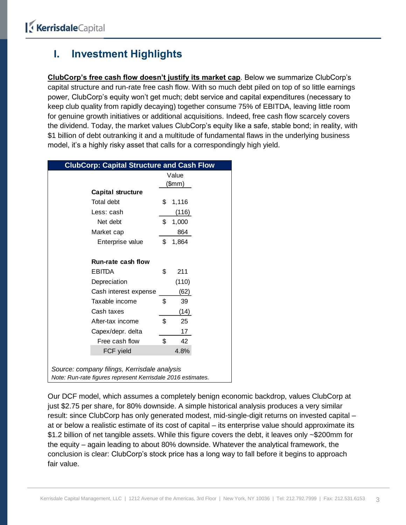### <span id="page-2-0"></span>**I. Investment Highlights**

**ClubCorp's free cash flow doesn't justify its market cap**. Below we summarize ClubCorp's capital structure and run-rate free cash flow. With so much debt piled on top of so little earnings power, ClubCorp's equity won't get much; debt service and capital expenditures (necessary to keep club quality from rapidly decaying) together consume 75% of EBITDA, leaving little room for genuine growth initiatives or additional acquisitions. Indeed, free cash flow scarcely covers the dividend. Today, the market values ClubCorp's equity like a safe, stable bond; in reality, with \$1 billion of debt outranking it and a multitude of fundamental flaws in the underlying business model, it's a highly risky asset that calls for a correspondingly high yield.

| <b>ClubCorp: Capital Structure and Cash Flow</b>                                                            |             |  |
|-------------------------------------------------------------------------------------------------------------|-------------|--|
|                                                                                                             | Value       |  |
|                                                                                                             | (\$mm)      |  |
| <b>Capital structure</b>                                                                                    |             |  |
| Total debt                                                                                                  | \$<br>1,116 |  |
| Less: cash                                                                                                  | (116)       |  |
| Net debt                                                                                                    | \$<br>1,000 |  |
| Market cap                                                                                                  | 864         |  |
| Enterprise value                                                                                            | \$<br>1,864 |  |
| <b>Run-rate cash flow</b>                                                                                   |             |  |
| <b>EBITDA</b>                                                                                               | \$<br>211   |  |
| Depreciation                                                                                                | (110)       |  |
| Cash interest expense                                                                                       | (62)        |  |
| Taxable income                                                                                              | \$<br>39    |  |
| Cash taxes                                                                                                  | (14)        |  |
| After-tax income                                                                                            | \$<br>25    |  |
| Capex/depr. delta                                                                                           | 17          |  |
| Free cash flow                                                                                              | \$<br>42    |  |
| FCF yield                                                                                                   | 4.8%        |  |
| Source: company filings, Kerrisdale analysis<br>Note: Run-rate figures represent Kerrisdale 2016 estimates. |             |  |

Our DCF model, which assumes a completely benign economic backdrop, values ClubCorp at just \$2.75 per share, for 80% downside. A simple historical analysis produces a very similar result: since ClubCorp has only generated modest, mid-single-digit returns on invested capital – at or below a realistic estimate of its cost of capital – its enterprise value should approximate its \$1.2 billion of net tangible assets. While this figure covers the debt, it leaves only ~\$200mm for the equity – again leading to about 80% downside. Whatever the analytical framework, the conclusion is clear: ClubCorp's stock price has a long way to fall before it begins to approach fair value.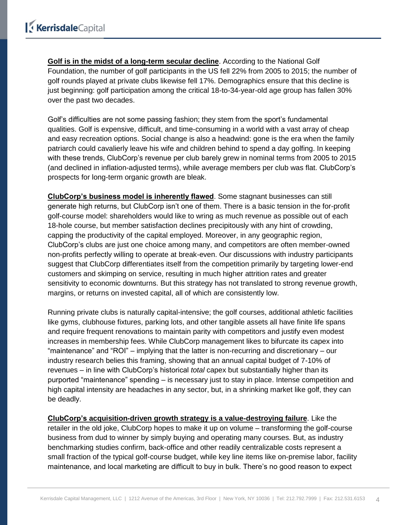**Golf is in the midst of a long-term secular decline**. According to the National Golf Foundation, the number of golf participants in the US fell 22% from 2005 to 2015; the number of golf rounds played at private clubs likewise fell 17%. Demographics ensure that this decline is just beginning: golf participation among the critical 18-to-34-year-old age group has fallen 30% over the past two decades.

Golf's difficulties are not some passing fashion; they stem from the sport's fundamental qualities. Golf is expensive, difficult, and time-consuming in a world with a vast array of cheap and easy recreation options. Social change is also a headwind: gone is the era when the family patriarch could cavalierly leave his wife and children behind to spend a day golfing. In keeping with these trends, ClubCorp's revenue per club barely grew in nominal terms from 2005 to 2015 (and declined in inflation-adjusted terms), while average members per club was flat. ClubCorp's prospects for long-term organic growth are bleak.

**ClubCorp's business model is inherently flawed**. Some stagnant businesses can still generate high returns, but ClubCorp isn't one of them. There is a basic tension in the for-profit golf-course model: shareholders would like to wring as much revenue as possible out of each 18-hole course, but member satisfaction declines precipitously with any hint of crowding, capping the productivity of the capital employed. Moreover, in any geographic region, ClubCorp's clubs are just one choice among many, and competitors are often member-owned non-profits perfectly willing to operate at break-even. Our discussions with industry participants suggest that ClubCorp differentiates itself from the competition primarily by targeting lower-end customers and skimping on service, resulting in much higher attrition rates and greater sensitivity to economic downturns. But this strategy has not translated to strong revenue growth, margins, or returns on invested capital, all of which are consistently low.

Running private clubs is naturally capital-intensive; the golf courses, additional athletic facilities like gyms, clubhouse fixtures, parking lots, and other tangible assets all have finite life spans and require frequent renovations to maintain parity with competitors and justify even modest increases in membership fees. While ClubCorp management likes to bifurcate its capex into "maintenance" and "ROI" – implying that the latter is non-recurring and discretionary – our industry research belies this framing, showing that an annual capital budget of 7-10% of revenues – in line with ClubCorp's historical *total* capex but substantially higher than its purported "maintenance" spending – is necessary just to stay in place. Intense competition and high capital intensity are headaches in any sector, but, in a shrinking market like golf, they can be deadly.

**ClubCorp's acquisition-driven growth strategy is a value-destroying failure**. Like the retailer in the old joke, ClubCorp hopes to make it up on volume – transforming the golf-course business from dud to winner by simply buying and operating many courses. But, as industry benchmarking studies confirm, back-office and other readily centralizable costs represent a small fraction of the typical golf-course budget, while key line items like on-premise labor, facility maintenance, and local marketing are difficult to buy in bulk. There's no good reason to expect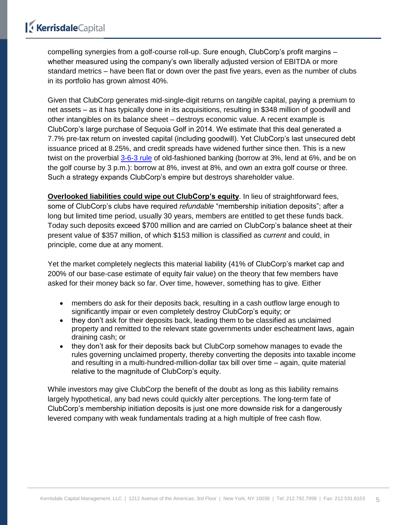compelling synergies from a golf-course roll-up. Sure enough, ClubCorp's profit margins – whether measured using the company's own liberally adjusted version of EBITDA or more standard metrics – have been flat or down over the past five years, even as the number of clubs in its portfolio has grown almost 40%.

Given that ClubCorp generates mid-single-digit returns on *tangible* capital, paying a premium to net assets – as it has typically done in its acquisitions, resulting in \$348 million of goodwill and other intangibles on its balance sheet – destroys economic value. A recent example is ClubCorp's large purchase of Sequoia Golf in 2014. We estimate that this deal generated a 7.7% pre-tax return on invested capital (including goodwill). Yet ClubCorp's last unsecured debt issuance priced at 8.25%, and credit spreads have widened further since then. This is a new twist on the proverbial [3-6-3 rule](https://www.richmondfed.org/~/media/richmondfedorg/publications/research/economic_quarterly/2006/winter/pdf/walter.pdf) of old-fashioned banking (borrow at 3%, lend at 6%, and be on the golf course by 3 p.m.): borrow at 8%, invest at 8%, and own an extra golf course or three. Such a strategy expands ClubCorp's empire but destroys shareholder value.

**Overlooked liabilities could wipe out ClubCorp's equity**. In lieu of straightforward fees, some of ClubCorp's clubs have required *refundable* "membership initiation deposits"; after a long but limited time period, usually 30 years, members are entitled to get these funds back. Today such deposits exceed \$700 million and are carried on ClubCorp's balance sheet at their present value of \$357 million, of which \$153 million is classified as *current* and could, in principle, come due at any moment.

Yet the market completely neglects this material liability (41% of ClubCorp's market cap and 200% of our base-case estimate of equity fair value) on the theory that few members have asked for their money back so far. Over time, however, something has to give. Either

- members do ask for their deposits back, resulting in a cash outflow large enough to significantly impair or even completely destroy ClubCorp's equity; or
- they don't ask for their deposits back, leading them to be classified as unclaimed property and remitted to the relevant state governments under escheatment laws, again draining cash; or
- they don't ask for their deposits back but ClubCorp somehow manages to evade the rules governing unclaimed property, thereby converting the deposits into taxable income and resulting in a multi-hundred-million-dollar tax bill over time – again, quite material relative to the magnitude of ClubCorp's equity.

While investors may give ClubCorp the benefit of the doubt as long as this liability remains largely hypothetical, any bad news could quickly alter perceptions. The long-term fate of ClubCorp's membership initiation deposits is just one more downside risk for a dangerously levered company with weak fundamentals trading at a high multiple of free cash flow.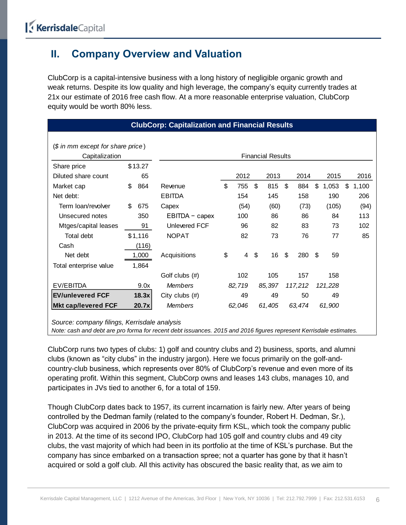### <span id="page-5-0"></span>**II. Company Overview and Valuation**

ClubCorp is a capital-intensive business with a long history of negligible organic growth and weak returns. Despite its low quality and high leverage, the company's equity currently trades at 21x our estimate of 2016 free cash flow. At a more reasonable enterprise valuation, ClubCorp equity would be worth 80% less.

|                                                                                                                    |                          |         | <b>ClubCorp: Capitalization and Financial Results</b> |    |        |    |        |    |         |     |         |    |       |  |
|--------------------------------------------------------------------------------------------------------------------|--------------------------|---------|-------------------------------------------------------|----|--------|----|--------|----|---------|-----|---------|----|-------|--|
|                                                                                                                    |                          |         |                                                       |    |        |    |        |    |         |     |         |    |       |  |
| (\$ in mm except for share price)                                                                                  |                          |         |                                                       |    |        |    |        |    |         |     |         |    |       |  |
| Capitalization                                                                                                     | <b>Financial Results</b> |         |                                                       |    |        |    |        |    |         |     |         |    |       |  |
| Share price                                                                                                        |                          | \$13.27 |                                                       |    |        |    |        |    |         |     |         |    |       |  |
| Diluted share count                                                                                                |                          | 65      |                                                       |    | 2012   |    | 2013   |    | 2014    |     | 2015    |    | 2016  |  |
| Market cap                                                                                                         | \$                       | 864     | Revenue                                               | \$ | 755    | \$ | 815    | \$ | 884     | \$  | 1,053   | \$ | 1,100 |  |
| Net debt:                                                                                                          |                          |         | <b>EBITDA</b>                                         |    | 154    |    | 145    |    | 158     |     | 190     |    | 206   |  |
| Term loan/revolver                                                                                                 | \$                       | 675     | Capex                                                 |    | (54)   |    | (60)   |    | (73)    |     | (105)   |    | (94)  |  |
| Unsecured notes                                                                                                    |                          | 350     | EBITDA - capex                                        |    | 100    |    | 86     |    | 86      |     | 84      |    | 113   |  |
| Mtges/capital leases                                                                                               |                          | 91      | <b>Unlevered FCF</b>                                  |    | 96     |    | 82     |    | 83      |     | 73      |    | 102   |  |
| Total debt                                                                                                         |                          | \$1,116 | <b>NOPAT</b>                                          |    | 82     |    | 73     |    | 76      |     | 77      |    | 85    |  |
| Cash                                                                                                               |                          | (116)   |                                                       |    |        |    |        |    |         |     |         |    |       |  |
| Net debt                                                                                                           |                          | 1,000   | Acquisitions                                          | \$ | 4      | \$ | 16     | \$ | 280     | \$. | 59      |    |       |  |
| Total enterprise value                                                                                             |                          | 1,864   |                                                       |    |        |    |        |    |         |     |         |    |       |  |
|                                                                                                                    |                          |         | Golf clubs (#)                                        |    | 102    |    | 105    |    | 157     |     | 158     |    |       |  |
| EV/EBITDA                                                                                                          |                          | 9.0x    | <b>Members</b>                                        |    | 82,719 |    | 85,397 |    | 117,212 |     | 121,228 |    |       |  |
| <b>EV/unlevered FCF</b>                                                                                            |                          | 18.3x   | City clubs $(#)$                                      |    | 49     |    | 49     |    | 50      |     | 49      |    |       |  |
| <b>Mkt cap/levered FCF</b>                                                                                         |                          | 20.7x   | <b>Members</b>                                        |    | 62,046 |    | 61,405 |    | 63,474  |     | 61,900  |    |       |  |
| Source: company filings, Kerrisdale analysis                                                                       |                          |         |                                                       |    |        |    |        |    |         |     |         |    |       |  |
| Note: cash and debt are pro forma for recent debt issuances. 2015 and 2016 figures represent Kerrisdale estimates. |                          |         |                                                       |    |        |    |        |    |         |     |         |    |       |  |

ClubCorp runs two types of clubs: 1) golf and country clubs and 2) business, sports, and alumni clubs (known as "city clubs" in the industry jargon). Here we focus primarily on the golf-andcountry-club business, which represents over 80% of ClubCorp's revenue and even more of its operating profit. Within this segment, ClubCorp owns and leases 143 clubs, manages 10, and participates in JVs tied to another 6, for a total of 159.

Though ClubCorp dates back to 1957, its current incarnation is fairly new. After years of being controlled by the Dedman family (related to the company's founder, Robert H. Dedman, Sr.), ClubCorp was acquired in 2006 by the private-equity firm KSL, which took the company public in 2013. At the time of its second IPO, ClubCorp had 105 golf and country clubs and 49 city clubs, the vast majority of which had been in its portfolio at the time of KSL's purchase. But the company has since embarked on a transaction spree; not a quarter has gone by that it hasn't acquired or sold a golf club. All this activity has obscured the basic reality that, as we aim to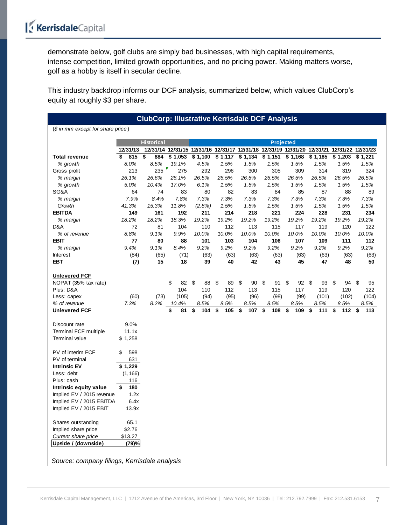demonstrate below, golf clubs are simply bad businesses, with high capital requirements, intense competition, limited growth opportunities, and no pricing power. Making matters worse, golf as a hobby is itself in secular decline.

This industry backdrop informs our DCF analysis, summarized below, which values ClubCorp's equity at roughly \$3 per share.

| <b>ClubCorp: Illustrative Kerrisdale DCF Analysis</b>                                    |              |                   |                                   |                                 |                                 |                                 |                                 |                                 |                                  |                                                                                           |                                  |  |
|------------------------------------------------------------------------------------------|--------------|-------------------|-----------------------------------|---------------------------------|---------------------------------|---------------------------------|---------------------------------|---------------------------------|----------------------------------|-------------------------------------------------------------------------------------------|----------------------------------|--|
| $$$ in mm except for share price)                                                        |              |                   |                                   |                                 |                                 |                                 |                                 |                                 |                                  |                                                                                           |                                  |  |
|                                                                                          |              | <b>Historical</b> |                                   |                                 |                                 |                                 | <b>Projected</b>                |                                 |                                  |                                                                                           |                                  |  |
|                                                                                          | 12/31/13     |                   |                                   |                                 |                                 |                                 |                                 |                                 |                                  | 12/31/14 12/31/15 12/31/16 12/31/17 12/31/18 12/31/19 12/31/20 12/31/21 12/31/22 12/31/23 |                                  |  |
| <b>Total revenue</b>                                                                     | \$<br>815    | \$<br>884         | \$1,053                           | \$1,100                         | \$1,117                         | \$1,134                         | \$1,151                         | \$1,168                         | \$1,185                          | \$1,203                                                                                   | \$1,221                          |  |
| % growth                                                                                 | 8.0%         | 8.5%              | 19.1%                             | 4.5%                            | 1.5%                            | 1.5%                            | 1.5%                            | 1.5%                            | 1.5%                             | 1.5%                                                                                      | 1.5%                             |  |
| Gross profit                                                                             | 213          | 235               | 275                               | 292                             | 296                             | 300                             | 305                             | 309                             | 314                              | 319                                                                                       | 324                              |  |
| % margin                                                                                 | 26.1%        | 26.6%             | 26.1%                             | 26.5%                           | 26.5%                           | 26.5%                           | 26.5%                           | 26.5%                           | 26.5%                            | 26.5%                                                                                     | 26.5%                            |  |
| % growth                                                                                 | 5.0%         | 10.4%             | 17.0%                             | 6.1%                            | 1.5%                            | 1.5%                            | 1.5%                            | 1.5%                            | 1.5%                             | 1.5%                                                                                      | 1.5%                             |  |
| SG&A                                                                                     | 64           | 74                | 83                                | 80                              | 82                              | 83                              | 84                              | 85                              | 87                               | 88                                                                                        | 89                               |  |
| % margin                                                                                 | 7.9%         | 8.4%              | 7.8%                              | 7.3%                            | 7.3%                            | 7.3%                            | 7.3%                            | 7.3%                            | 7.3%                             | 7.3%                                                                                      | 7.3%                             |  |
| Growth                                                                                   | 41.3%        | 15.3%             | 11.8%                             | (2.8%)                          | 1.5%                            | 1.5%                            | 1.5%                            | 1.5%                            | 1.5%                             | 1.5%                                                                                      | 1.5%                             |  |
| <b>EBITDA</b>                                                                            | 149          | 161               | 192                               | 211                             | 214                             | 218                             | 221                             | 224                             | 228                              | 231                                                                                       | 234                              |  |
| % margin                                                                                 | 18.2%        | 18.2%             | 18.3%                             | 19.2%                           | 19.2%                           | 19.2%                           | 19.2%                           | 19.2%                           | 19.2%                            | 19.2%                                                                                     | 19.2%                            |  |
| D&A                                                                                      | 72           | 81                | 104                               | 110                             | 112                             | 113                             | 115                             | 117                             | 119                              | 120                                                                                       | 122                              |  |
| % of revenue                                                                             | 8.8%         | 9.1%              | 9.9%                              | 10.0%                           | 10.0%                           | 10.0%                           | 10.0%                           | 10.0%                           | 10.0%                            | 10.0%                                                                                     | 10.0%                            |  |
| <b>EBIT</b>                                                                              | 77           | 80                | 88                                | 101                             | 103                             | 104                             | 106                             | 107                             | 109                              | 111                                                                                       | 112                              |  |
| % margin                                                                                 | 9.4%         | 9.1%              | 8.4%                              | 9.2%                            | 9.2%                            | 9.2%                            | 9.2%                            | 9.2%                            | 9.2%                             | 9.2%                                                                                      | 9.2%                             |  |
| Interest                                                                                 | (84)         | (65)              | (71)                              | (63)                            | (63)                            | (63)                            | (63)                            | (63)                            | (63)                             | (63)                                                                                      | (63)                             |  |
| <b>EBT</b>                                                                               | (7)          | 15                | 18                                | 39                              | 40                              | 42                              | 43                              | 45                              | 47                               | 48                                                                                        | 50                               |  |
| <b>Unlevered FCF</b><br>NOPAT (35% tax rate)<br>Plus: D&A<br>Less: capex<br>% of revenue | (60)<br>7.3% | (73)<br>8.2%      | \$<br>82<br>104<br>(105)<br>10.4% | \$<br>88<br>110<br>(94)<br>8.5% | \$<br>89<br>112<br>(95)<br>8.5% | \$<br>90<br>113<br>(96)<br>8.5% | \$<br>91<br>115<br>(98)<br>8.5% | \$<br>92<br>117<br>(99)<br>8.5% | \$<br>93<br>119<br>(101)<br>8.5% | \$<br>94<br>120<br>(102)<br>8.5%                                                          | \$<br>95<br>122<br>(104)<br>8.5% |  |
| <b>Unlevered FCF</b>                                                                     |              |                   | \$<br>81                          | \$<br>104                       | \$<br>105                       | \$<br>107                       | 108<br>\$                       | \$<br>109                       | 111<br>\$                        | \$<br>112                                                                                 | \$<br>113                        |  |
| Discount rate                                                                            | 9.0%         |                   |                                   |                                 |                                 |                                 |                                 |                                 |                                  |                                                                                           |                                  |  |
| <b>Terminal FCF multiple</b>                                                             | 11.1x        |                   |                                   |                                 |                                 |                                 |                                 |                                 |                                  |                                                                                           |                                  |  |
| Terminal value                                                                           | \$1,258      |                   |                                   |                                 |                                 |                                 |                                 |                                 |                                  |                                                                                           |                                  |  |
| PV of interim FCF                                                                        | 598<br>S     |                   |                                   |                                 |                                 |                                 |                                 |                                 |                                  |                                                                                           |                                  |  |
| PV of terminal                                                                           | 631          |                   |                                   |                                 |                                 |                                 |                                 |                                 |                                  |                                                                                           |                                  |  |
| <b>Intrinsic EV</b>                                                                      | \$1,229      |                   |                                   |                                 |                                 |                                 |                                 |                                 |                                  |                                                                                           |                                  |  |
| Less: debt                                                                               | (1, 166)     |                   |                                   |                                 |                                 |                                 |                                 |                                 |                                  |                                                                                           |                                  |  |
| Plus: cash                                                                               | 116          |                   |                                   |                                 |                                 |                                 |                                 |                                 |                                  |                                                                                           |                                  |  |
| Intrinsic equity value                                                                   | 180<br>\$    |                   |                                   |                                 |                                 |                                 |                                 |                                 |                                  |                                                                                           |                                  |  |
| Implied EV / 2015 revenue                                                                | 1.2x         |                   |                                   |                                 |                                 |                                 |                                 |                                 |                                  |                                                                                           |                                  |  |
| Implied EV / 2015 EBITDA                                                                 | 6.4x         |                   |                                   |                                 |                                 |                                 |                                 |                                 |                                  |                                                                                           |                                  |  |
| Implied EV / 2015 EBIT                                                                   | 13.9x        |                   |                                   |                                 |                                 |                                 |                                 |                                 |                                  |                                                                                           |                                  |  |
| Shares outstanding                                                                       | 65.1         |                   |                                   |                                 |                                 |                                 |                                 |                                 |                                  |                                                                                           |                                  |  |
| Implied share price                                                                      | \$2.76       |                   |                                   |                                 |                                 |                                 |                                 |                                 |                                  |                                                                                           |                                  |  |
| Current share price                                                                      | \$13.27      |                   |                                   |                                 |                                 |                                 |                                 |                                 |                                  |                                                                                           |                                  |  |
| Upside / (downside)                                                                      | (79)%        |                   |                                   |                                 |                                 |                                 |                                 |                                 |                                  |                                                                                           |                                  |  |
|                                                                                          |              |                   |                                   |                                 |                                 |                                 |                                 |                                 |                                  |                                                                                           |                                  |  |
| Source: company filings, Kerrisdale analysis                                             |              |                   |                                   |                                 |                                 |                                 |                                 |                                 |                                  |                                                                                           |                                  |  |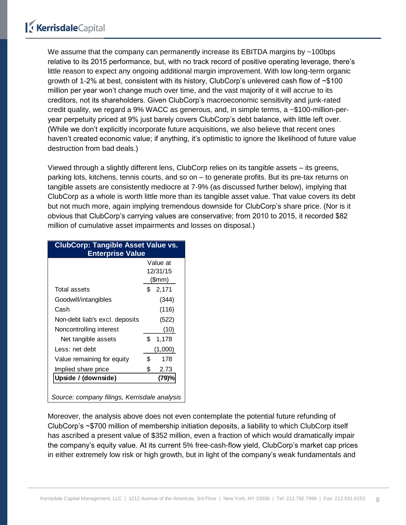We assume that the company can permanently increase its EBITDA margins by ~100bps relative to its 2015 performance, but, with no track record of positive operating leverage, there's little reason to expect any ongoing additional margin improvement. With low long-term organic growth of 1-2% at best, consistent with its history, ClubCorp's unlevered cash flow of ~\$100 million per year won't change much over time, and the vast majority of it will accrue to its creditors, not its shareholders. Given ClubCorp's macroeconomic sensitivity and junk-rated credit quality, we regard a 9% WACC as generous, and, in simple terms, a  $\sim$ \$100-million-peryear perpetuity priced at 9% just barely covers ClubCorp's debt balance, with little left over. (While we don't explicitly incorporate future acquisitions, we also believe that recent ones haven't created economic value; if anything, it's optimistic to ignore the likelihood of future value destruction from bad deals.)

Viewed through a slightly different lens, ClubCorp relies on its tangible assets – its greens, parking lots, kitchens, tennis courts, and so on – to generate profits. But its pre-tax returns on tangible assets are consistently mediocre at 7-9% (as discussed further below), implying that ClubCorp as a whole is worth little more than its tangible asset value. That value covers its debt but not much more, again implying tremendous downside for ClubCorp's share price. (Nor is it obvious that ClubCorp's carrying values are conservative; from 2010 to 2015, it recorded \$82 million of cumulative asset impairments and losses on disposal.)

| <b>ClubCorp: Tangible Asset Value vs.</b><br><b>Enterprise Value</b> |             |
|----------------------------------------------------------------------|-------------|
|                                                                      | Value at    |
|                                                                      | 12/31/15    |
|                                                                      | \$mm)       |
| Total assets                                                         | \$<br>2,171 |
| Goodwill/intangibles                                                 | (344)       |
| Cash                                                                 | (116)       |
| Non-debt liab's excl. deposits                                       | (522)       |
| Noncontrolling interest                                              | (10)        |
| Net tangible assets                                                  | \$<br>1,178 |
| Less: net debt                                                       | (1,000)     |
| Value remaining for equity                                           | \$<br>178   |
| Implied share price                                                  | \$<br>2.73  |
| Upside / (downside)                                                  | (79)%       |
| Source: company filings, Kerrisdale analysis                         |             |

Moreover, the analysis above does not even contemplate the potential future refunding of ClubCorp's ~\$700 million of membership initiation deposits, a liability to which ClubCorp itself has ascribed a present value of \$352 million, even a fraction of which would dramatically impair the company's equity value. At its current 5% free-cash-flow yield, ClubCorp's market cap prices in either extremely low risk or high growth, but in light of the company's weak fundamentals and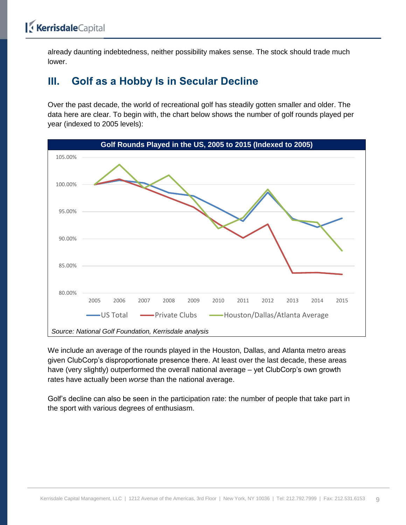already daunting indebtedness, neither possibility makes sense. The stock should trade much lower.

### <span id="page-8-0"></span>**III. Golf as a Hobby Is in Secular Decline**

Over the past decade, the world of recreational golf has steadily gotten smaller and older. The data here are clear. To begin with, the chart below shows the number of golf rounds played per year (indexed to 2005 levels):



We include an average of the rounds played in the Houston, Dallas, and Atlanta metro areas given ClubCorp's disproportionate presence there. At least over the last decade, these areas have (very slightly) outperformed the overall national average – yet ClubCorp's own growth rates have actually been *worse* than the national average.

Golf's decline can also be seen in the participation rate: the number of people that take part in the sport with various degrees of enthusiasm.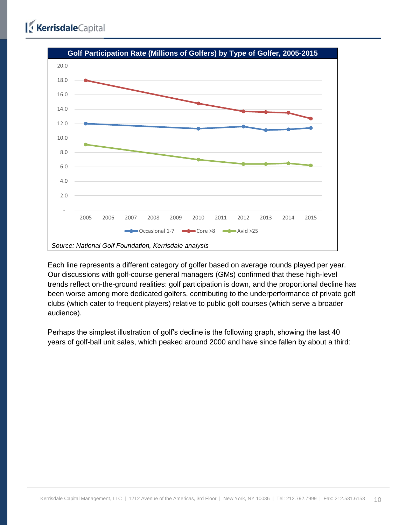

Each line represents a different category of golfer based on average rounds played per year. Our discussions with golf-course general managers (GMs) confirmed that these high-level trends reflect on-the-ground realities: golf participation is down, and the proportional decline has been worse among more dedicated golfers, contributing to the underperformance of private golf clubs (which cater to frequent players) relative to public golf courses (which serve a broader audience).

Perhaps the simplest illustration of golf's decline is the following graph, showing the last 40 years of golf-ball unit sales, which peaked around 2000 and have since fallen by about a third: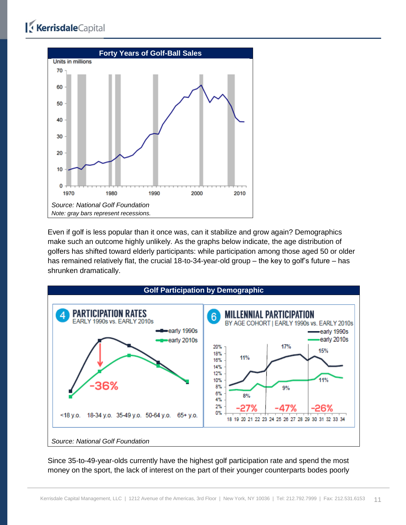

Even if golf is less popular than it once was, can it stabilize and grow again? Demographics make such an outcome highly unlikely. As the graphs below indicate, the age distribution of golfers has shifted toward elderly participants: while participation among those aged 50 or older has remained relatively flat, the crucial 18-to-34-year-old group – the key to golf's future – has shrunken dramatically.



Since 35-to-49-year-olds currently have the highest golf participation rate and spend the most money on the sport, the lack of interest on the part of their younger counterparts bodes poorly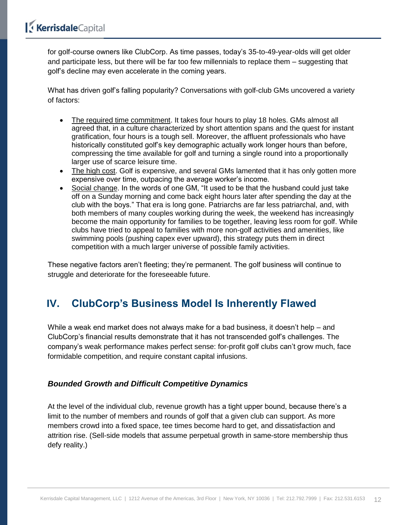for golf-course owners like ClubCorp. As time passes, today's 35-to-49-year-olds will get older and participate less, but there will be far too few millennials to replace them – suggesting that golf's decline may even accelerate in the coming years.

What has driven golf's falling popularity? Conversations with golf-club GMs uncovered a variety of factors:

- The required time commitment. It takes four hours to play 18 holes. GMs almost all agreed that, in a culture characterized by short attention spans and the quest for instant gratification, four hours is a tough sell. Moreover, the affluent professionals who have historically constituted golf's key demographic actually work longer hours than before, compressing the time available for golf and turning a single round into a proportionally larger use of scarce leisure time.
- The high cost. Golf is expensive, and several GMs lamented that it has only gotten more expensive over time, outpacing the average worker's income.
- Social change. In the words of one GM, "It used to be that the husband could just take off on a Sunday morning and come back eight hours later after spending the day at the club with the boys." That era is long gone. Patriarchs are far less patriarchal, and, with both members of many couples working during the week, the weekend has increasingly become the main opportunity for families to be together, leaving less room for golf. While clubs have tried to appeal to families with more non-golf activities and amenities, like swimming pools (pushing capex ever upward), this strategy puts them in direct competition with a much larger universe of possible family activities.

These negative factors aren't fleeting; they're permanent. The golf business will continue to struggle and deteriorate for the foreseeable future.

### <span id="page-11-0"></span>**IV. ClubCorp's Business Model Is Inherently Flawed**

While a weak end market does not always make for a bad business, it doesn't help – and ClubCorp's financial results demonstrate that it has not transcended golf's challenges. The company's weak performance makes perfect sense: for-profit golf clubs can't grow much, face formidable competition, and require constant capital infusions.

#### <span id="page-11-1"></span>*Bounded Growth and Difficult Competitive Dynamics*

At the level of the individual club, revenue growth has a tight upper bound, because there's a limit to the number of members and rounds of golf that a given club can support. As more members crowd into a fixed space, tee times become hard to get, and dissatisfaction and attrition rise. (Sell-side models that assume perpetual growth in same-store membership thus defy reality.)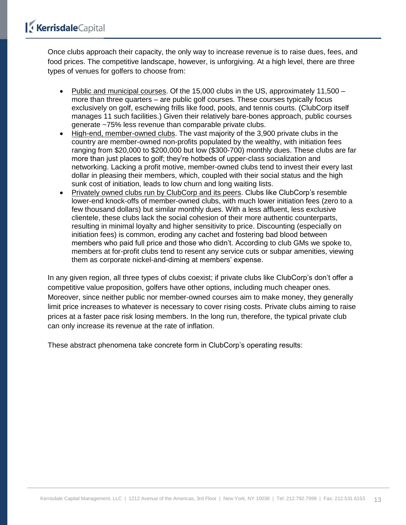Once clubs approach their capacity, the only way to increase revenue is to raise dues, fees, and food prices. The competitive landscape, however, is unforgiving. At a high level, there are three types of venues for golfers to choose from:

- Public and municipal courses. Of the 15,000 clubs in the US, approximately 11,500  $$ more than three quarters – are public golf courses. These courses typically focus exclusively on golf, eschewing frills like food, pools, and tennis courts. (ClubCorp itself manages 11 such facilities.) Given their relatively bare-bones approach, public courses generate ~75% less revenue than comparable private clubs.
- High-end, member-owned clubs. The vast majority of the 3,900 private clubs in the country are member-owned non-profits populated by the wealthy, with initiation fees ranging from \$20,000 to \$200,000 but low (\$300-700) monthly dues. These clubs are far more than just places to golf; they're hotbeds of upper-class socialization and networking. Lacking a profit motive, member-owned clubs tend to invest their every last dollar in pleasing their members, which, coupled with their social status and the high sunk cost of initiation, leads to low churn and long waiting lists.
- Privately owned clubs run by ClubCorp and its peers. Clubs like ClubCorp's resemble lower-end knock-offs of member-owned clubs, with much lower initiation fees (zero to a few thousand dollars) but similar monthly dues. With a less affluent, less exclusive clientele, these clubs lack the social cohesion of their more authentic counterparts, resulting in minimal loyalty and higher sensitivity to price. Discounting (especially on initiation fees) is common, eroding any cachet and fostering bad blood between members who paid full price and those who didn't. According to club GMs we spoke to, members at for-profit clubs tend to resent any service cuts or subpar amenities, viewing them as corporate nickel-and-diming at members' expense.

In any given region, all three types of clubs coexist; if private clubs like ClubCorp's don't offer a competitive value proposition, golfers have other options, including much cheaper ones. Moreover, since neither public nor member-owned courses aim to make money, they generally limit price increases to whatever is necessary to cover rising costs. Private clubs aiming to raise prices at a faster pace risk losing members. In the long run, therefore, the typical private club can only increase its revenue at the rate of inflation.

These abstract phenomena take concrete form in ClubCorp's operating results: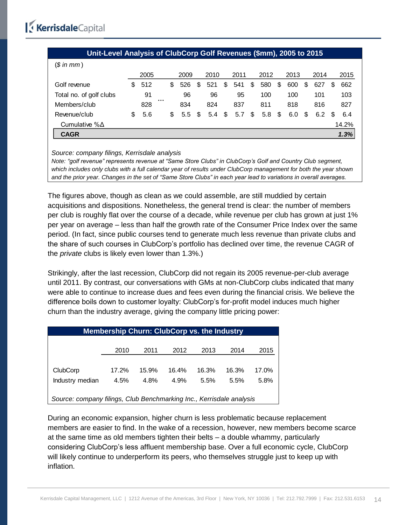| Unit-Level Analysis of ClubCorp Golf Revenues (\$mm), 2005 to 2015 |     |      |  |     |      |    |      |    |      |     |      |    |      |     |      |   |       |
|--------------------------------------------------------------------|-----|------|--|-----|------|----|------|----|------|-----|------|----|------|-----|------|---|-------|
| $$$ in mm)                                                         |     |      |  |     |      |    |      |    |      |     |      |    |      |     |      |   |       |
|                                                                    |     | 2005 |  |     | 2009 |    | 2010 |    | 2011 |     | 2012 |    | 2013 |     | 2014 |   | 2015  |
| Golf revenue                                                       | \$. | 512  |  | S   | 526  | \$ | 521  | \$ | 541  | \$  | 580  | \$ | 600  | \$  | 627  | S | 662   |
| Total no. of golf clubs                                            |     | 91   |  |     | 96   |    | 96   |    | 95   |     | 100  |    | 100  |     | 101  |   | 103   |
| Members/club                                                       |     | 828  |  |     | 834  |    | 824  |    | 837  |     | 811  |    | 818  |     | 816  |   | 827   |
| Revenue/club                                                       | S   | 5.6  |  | \$. | 5.5  | \$ | 5.4  | \$ | 5.7  | \$. | 5.8  | \$ | 6.0  | \$. | 6.2  | S | 6.4   |
| Cumulative $% \Delta$                                              |     |      |  |     |      |    |      |    |      |     |      |    |      |     |      |   | 14.2% |
| <b>CAGR</b>                                                        |     |      |  |     |      |    |      |    |      |     |      |    |      |     |      |   | 1.3%  |

*Source: company filings, Kerrisdale analysis*

*Note: "golf revenue" represents revenue at "Same Store Clubs" in ClubCorp's Golf and Country Club segment, which includes only clubs with a full calendar year of results under ClubCorp management for both the year shown and the prior year. Changes in the set of "Same Store Clubs" in each year lead to variations in overall averages.*

The figures above, though as clean as we could assemble, are still muddied by certain acquisitions and dispositions. Nonetheless, the general trend is clear: the number of members per club is roughly flat over the course of a decade, while revenue per club has grown at just 1% per year on average – less than half the growth rate of the Consumer Price Index over the same period. (In fact, since public courses tend to generate much less revenue than private clubs and the share of such courses in ClubCorp's portfolio has declined over time, the revenue CAGR of the *private* clubs is likely even lower than 1.3%.)

Strikingly, after the last recession, ClubCorp did not regain its 2005 revenue-per-club average until 2011. By contrast, our conversations with GMs at non-ClubCorp clubs indicated that many were able to continue to increase dues and fees even during the financial crisis. We believe the difference boils down to customer loyalty: ClubCorp's for-profit model induces much higher churn than the industry average, giving the company little pricing power:

|                                                                      | <b>Membership Churn: ClubCorp vs. the Industry</b> |       |       |       |       |       |
|----------------------------------------------------------------------|----------------------------------------------------|-------|-------|-------|-------|-------|
|                                                                      |                                                    |       |       |       |       |       |
|                                                                      | 2010                                               | 2011  | 2012  | 2013  | 2014  | 2015  |
|                                                                      |                                                    |       |       |       |       |       |
| ClubCorp                                                             | $17.2\%$                                           | 15.9% | 16.4% | 16.3% | 16.3% | 17.0% |
| Industry median                                                      | 4.5%                                               | 4.8%  | 4.9%  | 5.5%  | 5.5%  | 5.8%  |
|                                                                      |                                                    |       |       |       |       |       |
| Source: company filings, Club Benchmarking Inc., Kerrisdale analysis |                                                    |       |       |       |       |       |

During an economic expansion, higher churn is less problematic because replacement members are easier to find. In the wake of a recession, however, new members become scarce at the same time as old members tighten their belts – a double whammy, particularly considering ClubCorp's less affluent membership base. Over a full economic cycle, ClubCorp will likely continue to underperform its peers, who themselves struggle just to keep up with inflation.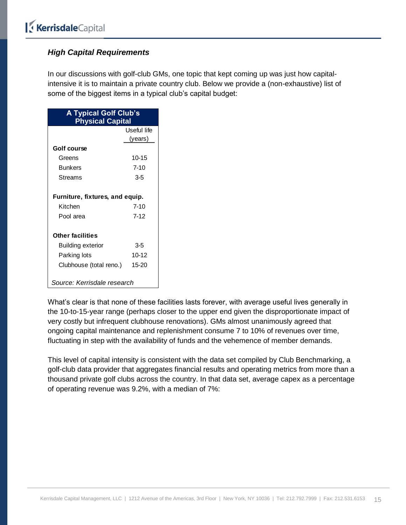#### <span id="page-14-0"></span>*High Capital Requirements*

In our discussions with golf-club GMs, one topic that kept coming up was just how capitalintensive it is to maintain a private country club. Below we provide a (non-exhaustive) list of some of the biggest items in a typical club's capital budget:

| <b>A Typical Golf Club's</b><br><b>Physical Capital</b> |             |  |  |  |  |  |  |  |  |  |  |
|---------------------------------------------------------|-------------|--|--|--|--|--|--|--|--|--|--|
|                                                         | Useful life |  |  |  |  |  |  |  |  |  |  |
|                                                         | (years)     |  |  |  |  |  |  |  |  |  |  |
| Golf course                                             |             |  |  |  |  |  |  |  |  |  |  |
| Greens                                                  | $10 - 15$   |  |  |  |  |  |  |  |  |  |  |
| <b>Bunkers</b>                                          | $7 - 10$    |  |  |  |  |  |  |  |  |  |  |
| Streams                                                 | 3-5         |  |  |  |  |  |  |  |  |  |  |
| Furniture, fixtures, and equip.                         |             |  |  |  |  |  |  |  |  |  |  |
| Kitchen                                                 | 7-10        |  |  |  |  |  |  |  |  |  |  |
| Pool area                                               | 7-12        |  |  |  |  |  |  |  |  |  |  |
| <b>Other facilities</b>                                 |             |  |  |  |  |  |  |  |  |  |  |
| <b>Building exterior</b>                                | 3-5         |  |  |  |  |  |  |  |  |  |  |
| Parking lots                                            | $10 - 12$   |  |  |  |  |  |  |  |  |  |  |
| Clubhouse (total reno.)                                 | $15-20$     |  |  |  |  |  |  |  |  |  |  |
| Source: Kerrisdale research                             |             |  |  |  |  |  |  |  |  |  |  |

What's clear is that none of these facilities lasts forever, with average useful lives generally in the 10-to-15-year range (perhaps closer to the upper end given the disproportionate impact of very costly but infrequent clubhouse renovations). GMs almost unanimously agreed that ongoing capital maintenance and replenishment consume 7 to 10% of revenues over time, fluctuating in step with the availability of funds and the vehemence of member demands.

This level of capital intensity is consistent with the data set compiled by Club Benchmarking, a golf-club data provider that aggregates financial results and operating metrics from more than a thousand private golf clubs across the country. In that data set, average capex as a percentage of operating revenue was 9.2%, with a median of 7%: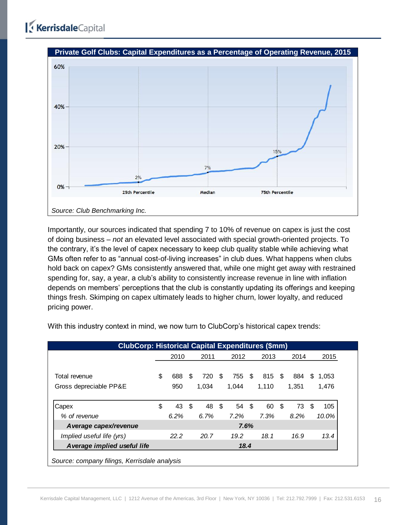

Importantly, our sources indicated that spending 7 to 10% of revenue on capex is just the cost of doing business – *not* an elevated level associated with special growth-oriented projects. To the contrary, it's the level of capex necessary to keep club quality stable while achieving what GMs often refer to as "annual cost-of-living increases" in club dues. What happens when clubs hold back on capex? GMs consistently answered that, while one might get away with restrained spending for, say, a year, a club's ability to consistently increase revenue in line with inflation depends on members' perceptions that the club is constantly updating its offerings and keeping things fresh. Skimping on capex ultimately leads to higher churn, lower loyalty, and reduced pricing power.

| <b>ClubCorp: Historical Capital Expenditures (\$mm)</b><br>2011<br>2014<br>2010<br>2012<br>2013<br>2015 |      |      |     |       |     |       |      |       |      |       |    |          |  |  |
|---------------------------------------------------------------------------------------------------------|------|------|-----|-------|-----|-------|------|-------|------|-------|----|----------|--|--|
|                                                                                                         |      |      |     |       |     |       |      |       |      |       |    |          |  |  |
| Total revenue                                                                                           | \$   | 688  | \$. | 720   | \$. | 755   | - \$ | 815   | - \$ | 884   | S  | 1.053    |  |  |
| Gross depreciable PP&E                                                                                  |      | 950  |     | 1.034 |     | 1.044 |      | 1.110 |      | 1.351 |    | 1,476    |  |  |
|                                                                                                         |      |      |     |       |     |       |      |       |      |       |    |          |  |  |
| Capex                                                                                                   | \$   | 43   | \$  | 48    | -\$ | 54    | - \$ | 60    | \$   | 73    | \$ | 105      |  |  |
| % of revenue                                                                                            |      | 6.2% |     | 6.7%  |     | 7.2%  |      | 7.3%  |      | 8.2%  |    | $10.0\%$ |  |  |
| A verage capex/revenue                                                                                  |      |      |     |       |     |       | 7.6% |       |      |       |    |          |  |  |
| Implied useful life (yrs)                                                                               |      | 22.2 |     | 20.7  |     | 19.2  |      | 18.1  |      | 16.9  |    | 13.4     |  |  |
| A verage implied useful life                                                                            | 18.4 |      |     |       |     |       |      |       |      |       |    |          |  |  |

With this industry context in mind, we now turn to ClubCorp's historical capex trends: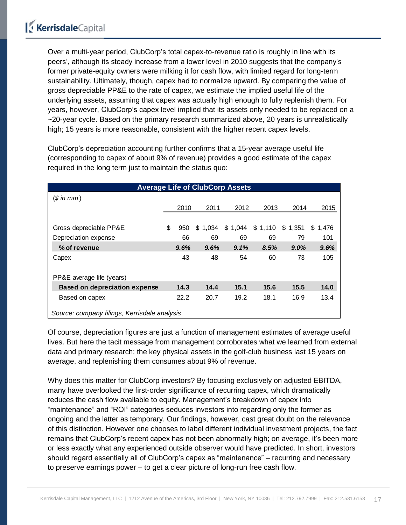Over a multi-year period, ClubCorp's total capex-to-revenue ratio is roughly in line with its peers', although its steady increase from a lower level in 2010 suggests that the company's former private-equity owners were milking it for cash flow, with limited regard for long-term sustainability. Ultimately, though, capex had to normalize upward. By comparing the value of gross depreciable PP&E to the rate of capex, we estimate the implied useful life of the underlying assets, assuming that capex was actually high enough to fully replenish them. For years, however, ClubCorp's capex level implied that its assets only needed to be replaced on a ~20-year cycle. Based on the primary research summarized above, 20 years is unrealistically high; 15 years is more reasonable, consistent with the higher recent capex levels.

ClubCorp's depreciation accounting further confirms that a 15-year average useful life (corresponding to capex of about 9% of revenue) provides a good estimate of the capex required in the long term just to maintain the status quo:

|                                              |           |         | <b>Average Life of ClubCorp Assets</b> |         |         |              |
|----------------------------------------------|-----------|---------|----------------------------------------|---------|---------|--------------|
| (\$in mm)                                    |           |         |                                        |         |         |              |
|                                              | 2010      | 2011    | 2012                                   | 2013    | 2014    | 2015         |
|                                              |           |         |                                        |         |         |              |
| Gross depreciable PP&E                       | \$<br>950 | \$1,034 | \$1,044                                | \$1,110 | \$1,351 | \$.<br>1,476 |
| Depreciation expense                         | 66        | 69      | 69                                     | 69      | 79      | 101          |
| % of revenue                                 | 9.6%      | 9.6%    | 9.1%                                   | 8.5%    | 9.0%    | 9.6%         |
| Capex                                        | 43        | 48      | 54                                     | 60      | 73      | 105          |
| PP&E average life (years)                    |           |         |                                        |         |         |              |
| <b>Based on depreciation expense</b>         | 14.3      | 14.4    | 15.1                                   | 15.6    | 15.5    | 14.0         |
| Based on capex                               | 22.2      | 20.7    | 19.2                                   | 18.1    | 16.9    | 13.4         |
| Source: company filings, Kerrisdale analysis |           |         |                                        |         |         |              |

Of course, depreciation figures are just a function of management estimates of average useful lives. But here the tacit message from management corroborates what we learned from external data and primary research: the key physical assets in the golf-club business last 15 years on average, and replenishing them consumes about 9% of revenue.

Why does this matter for ClubCorp investors? By focusing exclusively on adjusted EBITDA, many have overlooked the first-order significance of recurring capex, which dramatically reduces the cash flow available to equity. Management's breakdown of capex into "maintenance" and "ROI" categories seduces investors into regarding only the former as ongoing and the latter as temporary. Our findings, however, cast great doubt on the relevance of this distinction. However one chooses to label different individual investment projects, the fact remains that ClubCorp's recent capex has not been abnormally high; on average, it's been more or less exactly what any experienced outside observer would have predicted. In short, investors should regard essentially all of ClubCorp's capex as "maintenance" – recurring and necessary to preserve earnings power – to get a clear picture of long-run free cash flow.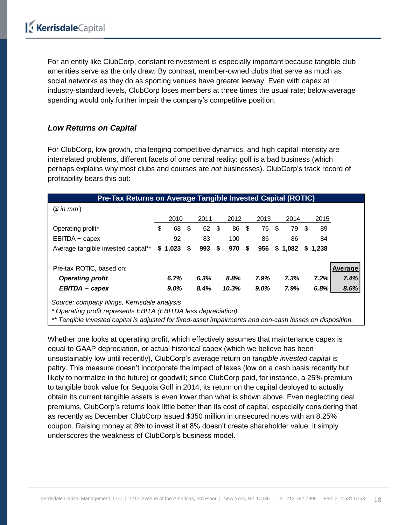For an entity like ClubCorp, constant reinvestment is especially important because tangible club amenities serve as the only draw. By contrast, member-owned clubs that serve as much as social networks as they do as sporting venues have greater leeway. Even with capex at industry-standard levels, ClubCorp loses members at three times the usual rate; below-average spending would only further impair the company's competitive position.

#### <span id="page-17-0"></span>*Low Returns on Capital*

For ClubCorp, low growth, challenging competitive dynamics, and high capital intensity are interrelated problems, different facets of one central reality: golf is a bad business (which perhaps explains why most clubs and courses are *not* businesses). ClubCorp's track record of profitability bears this out:

| <b>Pre-Tax Returns on Average Tangible Invested Capital (ROTIC)</b> |          |              |      |       |           |      |         |   |         |         |
|---------------------------------------------------------------------|----------|--------------|------|-------|-----------|------|---------|---|---------|---------|
| (\$in mm)                                                           |          |              |      |       |           |      |         |   |         |         |
|                                                                     | 2010     | 2011         |      | 2012  | 2013      |      | 2014    |   | 2015    |         |
| Operating profit*                                                   | \$<br>68 | \$<br>62     | - \$ | 86    | \$<br>76  | - \$ | 79      | S | 89      |         |
| EBITDA - capex                                                      | 92       | 83           |      | 100   | 86        |      | 86      |   | 84      |         |
| Average tangible invested capital**                                 | \$1,023  | \$<br>993 \$ |      | 970   | \$<br>956 |      | \$1,082 |   | \$1.238 |         |
| Pre-tax ROTIC, based on:                                            |          |              |      |       |           |      |         |   |         | Average |
| <b>Operating profit</b>                                             | 6.7%     | 6.3%         |      | 8.8%  | 7.9%      |      | 7.3%    |   | 7.2%    | 7.4%    |
| EBITDA - capex                                                      | 9.0%     | 8.4%         |      | 10.3% | $9.0\%$   |      | 7.9%    |   | 6.8%    | 8.6%    |
| Source: company filings, Kerrisdale analysis                        |          |              |      |       |           |      |         |   |         |         |

*\* Operating profit represents EBITA (EBITDA less depreciation).*

*\*\* Tangible invested capital is adjusted for fixed-asset impairments and non-cash losses on disposition.*

Whether one looks at operating profit, which effectively assumes that maintenance capex is equal to GAAP depreciation, or actual historical capex (which we believe has been unsustainably low until recently), ClubCorp's average return on *tangible invested capital* is paltry. This measure doesn't incorporate the impact of taxes (low on a cash basis recently but likely to normalize in the future) or goodwill; since ClubCorp paid, for instance, a 25% premium to tangible book value for Sequoia Golf in 2014, its return on the capital deployed to actually obtain its current tangible assets is even lower than what is shown above. Even neglecting deal premiums, ClubCorp's returns look little better than its cost of capital, especially considering that as recently as December ClubCorp issued \$350 million in unsecured notes with an 8.25% coupon. Raising money at 8% to invest it at 8% doesn't create shareholder value; it simply underscores the weakness of ClubCorp's business model.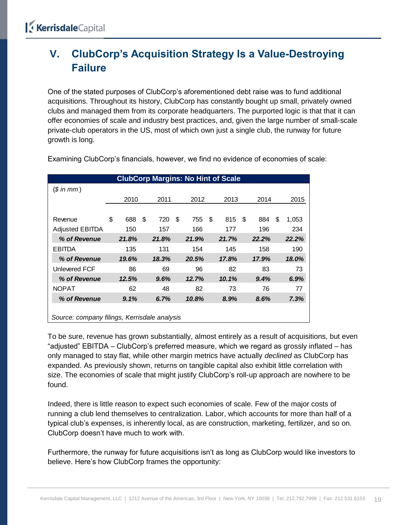### <span id="page-18-0"></span>**V. ClubCorp's Acquisition Strategy Is a Value-Destroying Failure**

One of the stated purposes of ClubCorp's aforementioned debt raise was to fund additional acquisitions. Throughout its history, ClubCorp has constantly bought up small, privately owned clubs and managed them from its corporate headquarters. The purported logic is that that it can offer economies of scale and industry best practices, and, given the large number of small-scale private-club operators in the US, most of which own just a single club, the runway for future growth is long.

|                                              |           |    |       | <b>ClubCorp Margins: No Hint of Scale</b> |      |       |     |       |     |       |
|----------------------------------------------|-----------|----|-------|-------------------------------------------|------|-------|-----|-------|-----|-------|
| $$$ in mm)                                   |           |    |       |                                           |      |       |     |       |     |       |
|                                              | 2010      |    | 2011  | 2012                                      |      | 2013  |     | 2014  |     | 2015  |
|                                              |           |    |       |                                           |      |       |     |       |     |       |
| Revenue                                      | \$<br>688 | -S | 720   | \$<br>755                                 | - \$ | 815   | -\$ | 884   | \$. | 1,053 |
| <b>Adjusted EBITDA</b>                       | 150       |    | 157   | 166                                       |      | 177   |     | 196   |     | 234   |
| % of Revenue                                 | 21.8%     |    | 21.8% | 21.9%                                     |      | 21.7% |     | 22.2% |     | 22.2% |
| <b>EBITDA</b>                                | 135       |    | 131   | 154                                       |      | 145   |     | 158   |     | 190   |
| % of Revenue                                 | 19.6%     |    | 18.3% | 20.5%                                     |      | 17.8% |     | 17.9% |     | 18.0% |
| Unlevered FCF                                | 86        |    | 69    | 96                                        |      | 82    |     | 83    |     | 73    |
| % of Revenue                                 | 12.5%     |    | 9.6%  | 12.7%                                     |      | 10.1% |     | 9.4%  |     | 6.9%  |
| <b>NOPAT</b>                                 | 62        |    | 48    | 82                                        |      | 73    |     | 76    |     | 77    |
| % of Revenue                                 | 9.1%      |    | 6.7%  | 10.8%                                     |      | 8.9%  |     | 8.6%  |     | 7.3%  |
|                                              |           |    |       |                                           |      |       |     |       |     |       |
| Source: company filings, Kerrisdale analysis |           |    |       |                                           |      |       |     |       |     |       |

Examining ClubCorp's financials, however, we find no evidence of economies of scale:

To be sure, revenue has grown substantially, almost entirely as a result of acquisitions, but even "adjusted" EBITDA – ClubCorp's preferred measure, which we regard as grossly inflated – has only managed to stay flat, while other margin metrics have actually *declined* as ClubCorp has expanded. As previously shown, returns on tangible capital also exhibit little correlation with size. The economies of scale that might justify ClubCorp's roll-up approach are nowhere to be found.

Indeed, there is little reason to expect such economies of scale. Few of the major costs of running a club lend themselves to centralization. Labor, which accounts for more than half of a typical club's expenses, is inherently local, as are construction, marketing, fertilizer, and so on. ClubCorp doesn't have much to work with.

Furthermore, the runway for future acquisitions isn't as long as ClubCorp would like investors to believe. Here's how ClubCorp frames the opportunity: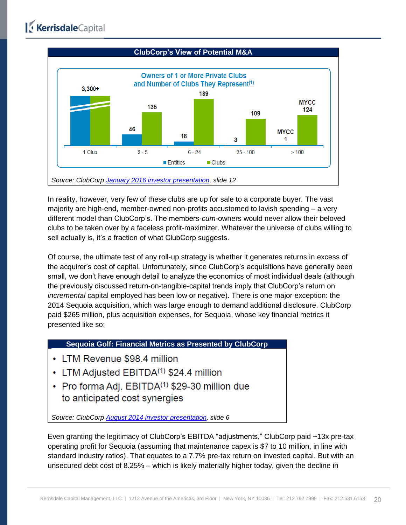

In reality, however, very few of these clubs are up for sale to a corporate buyer. The vast majority are high-end, member-owned non-profits accustomed to lavish spending – a very different model than ClubCorp's. The members-*cum*-owners would never allow their beloved clubs to be taken over by a faceless profit-maximizer. Whatever the universe of clubs willing to sell actually is, it's a fraction of what ClubCorp suggests.

Of course, the ultimate test of any roll-up strategy is whether it generates returns in excess of the acquirer's cost of capital. Unfortunately, since ClubCorp's acquisitions have generally been small, we don't have enough detail to analyze the economics of most individual deals (although the previously discussed return-on-tangible-capital trends imply that ClubCorp's return on *incremental* capital employed has been low or negative). There is one major exception: the 2014 Sequoia acquisition, which was large enough to demand additional disclosure. ClubCorp paid \$265 million, plus acquisition expenses, for Sequoia, whose key financial metrics it presented like so:

#### **Sequoia Golf: Financial Metrics as Presented by ClubCorp**

- LTM Revenue \$98.4 million
- LTM Adjusted EBITDA<sup>(1)</sup> \$24.4 million
- Pro forma Adj. EBITDA<sup>(1)</sup> \$29-30 million due to anticipated cost synergies

*Source: ClubCorp [August 2014 investor presentation,](http://s2.q4cdn.com/014278619/files/doc_presentations/2094-156513.pdf) slide 6*

Even granting the legitimacy of ClubCorp's EBITDA "adjustments," ClubCorp paid ~13x pre-tax operating profit for Sequoia (assuming that maintenance capex is \$7 to 10 million, in line with standard industry ratios). That equates to a 7.7% pre-tax return on invested capital. But with an unsecured debt cost of 8.25% – which is likely materially higher today, given the decline in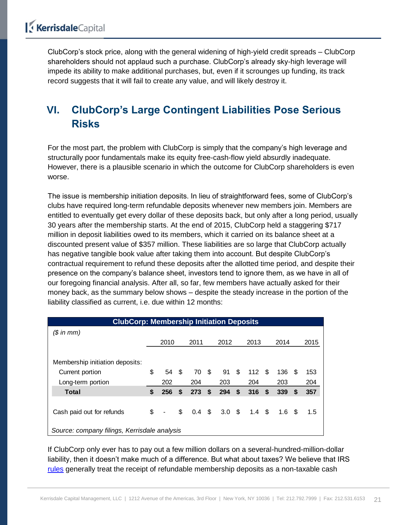ClubCorp's stock price, along with the general widening of high-yield credit spreads – ClubCorp shareholders should not applaud such a purchase. ClubCorp's already sky-high leverage will impede its ability to make additional purchases, but, even if it scrounges up funding, its track record suggests that it will fail to create any value, and will likely destroy it.

### <span id="page-20-0"></span>**VI. ClubCorp's Large Contingent Liabilities Pose Serious Risks**

For the most part, the problem with ClubCorp is simply that the company's high leverage and structurally poor fundamentals make its equity free-cash-flow yield absurdly inadequate. However, there is a plausible scenario in which the outcome for ClubCorp shareholders is even worse.

The issue is membership initiation deposits. In lieu of straightforward fees, some of ClubCorp's clubs have required long-term refundable deposits whenever new members join. Members are entitled to eventually get every dollar of these deposits back, but only after a long period, usually 30 years after the membership starts. At the end of 2015, ClubCorp held a staggering \$717 million in deposit liabilities owed to its members, which it carried on its balance sheet at a discounted present value of \$357 million. These liabilities are so large that ClubCorp actually has negative tangible book value after taking them into account. But despite ClubCorp's contractual requirement to refund these deposits after the allotted time period, and despite their presence on the company's balance sheet, investors tend to ignore them, as we have in all of our foregoing financial analysis. After all, so far, few members have actually asked for their money back, as the summary below shows – despite the steady increase in the portion of the liability classified as current, i.e. due within 12 months:

| <b>ClubCorp: Membership Initiation Deposits</b> |    |                              |      |      |               |                  |    |                |   |                  |      |      |
|-------------------------------------------------|----|------------------------------|------|------|---------------|------------------|----|----------------|---|------------------|------|------|
| (\$ in mm)                                      |    |                              |      |      |               |                  |    |                |   |                  |      |      |
|                                                 |    | 2010                         |      | 2011 |               | 2012             |    | 2013           |   | 2014             |      | 2015 |
|                                                 |    |                              |      |      |               |                  |    |                |   |                  |      |      |
| Membership initiation deposits:                 |    |                              |      |      |               |                  |    |                |   |                  |      |      |
| Current portion                                 | \$ | 54                           | - \$ | 70   | - \$          | 91               | \$ | 112            | S | 136 \$           |      | 153  |
| Long-term portion                               |    | 202                          |      | 204  |               | 203              |    | 204            |   | 203              |      | 204  |
| <b>Total</b>                                    | \$ | 256                          | \$   | 273  | \$            | 294              | \$ | 316S           |   | 339              | - \$ | 357  |
|                                                 |    |                              |      |      |               |                  |    |                |   |                  |      |      |
| Cash paid out for refunds                       | \$ | $\qquad \qquad \blacksquare$ | \$   | 0.4  | $\mathfrak s$ | 3.0 <sup>5</sup> |    | 1.4 $\sqrt{3}$ |   | 1.6 <sup>5</sup> |      | 1.5  |
|                                                 |    |                              |      |      |               |                  |    |                |   |                  |      |      |
| Source: company filings, Kerrisdale analysis    |    |                              |      |      |               |                  |    |                |   |                  |      |      |

If ClubCorp only ever has to pay out a few million dollars on a several-hundred-million-dollar liability, then it doesn't make much of a difference. But what about taxes? We believe that IRS [rules](https://www.irs.gov/pub/irs-wd/0245010.pdf) generally treat the receipt of refundable membership deposits as a non-taxable cash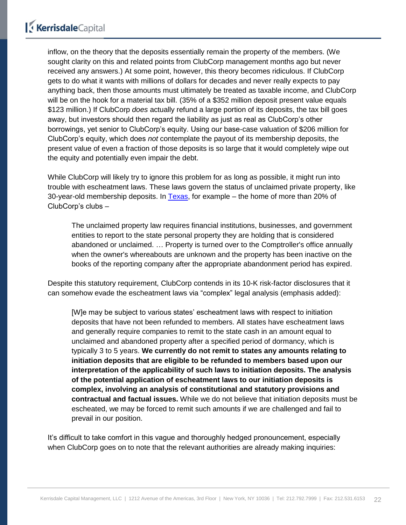inflow, on the theory that the deposits essentially remain the property of the members. (We sought clarity on this and related points from ClubCorp management months ago but never received any answers.) At some point, however, this theory becomes ridiculous. If ClubCorp gets to do what it wants with millions of dollars for decades and never really expects to pay anything back, then those amounts must ultimately be treated as taxable income, and ClubCorp will be on the hook for a material tax bill. (35% of a \$352 million deposit present value equals \$123 million.) If ClubCorp *does* actually refund a large portion of its deposits, the tax bill goes away, but investors should then regard the liability as just as real as ClubCorp's other borrowings, yet senior to ClubCorp's equity. Using our base-case valuation of \$206 million for ClubCorp's equity, which does *not* contemplate the payout of its membership deposits, the present value of even a fraction of those deposits is so large that it would completely wipe out the equity and potentially even impair the debt.

While ClubCorp will likely try to ignore this problem for as long as possible, it might run into trouble with escheatment laws. These laws govern the status of unclaimed private property, like 30-year-old membership deposits. In [Texas,](http://comptroller.texas.gov/up/generalinfo.php) for example – the home of more than 20% of ClubCorp's clubs –

The unclaimed property law requires financial institutions, businesses, and government entities to report to the state personal property they are holding that is considered abandoned or unclaimed. … Property is turned over to the Comptroller's office annually when the owner's whereabouts are unknown and the property has been inactive on the books of the reporting company after the appropriate abandonment period has expired.

Despite this statutory requirement, ClubCorp contends in its 10-K risk-factor disclosures that it can somehow evade the escheatment laws via "complex" legal analysis (emphasis added):

[W]e may be subject to various states' escheatment laws with respect to initiation deposits that have not been refunded to members. All states have escheatment laws and generally require companies to remit to the state cash in an amount equal to unclaimed and abandoned property after a specified period of dormancy, which is typically 3 to 5 years. **We currently do not remit to states any amounts relating to initiation deposits that are eligible to be refunded to members based upon our interpretation of the applicability of such laws to initiation deposits. The analysis of the potential application of escheatment laws to our initiation deposits is complex, involving an analysis of constitutional and statutory provisions and contractual and factual issues.** While we do not believe that initiation deposits must be escheated, we may be forced to remit such amounts if we are challenged and fail to prevail in our position.

It's difficult to take comfort in this vague and thoroughly hedged pronouncement, especially when ClubCorp goes on to note that the relevant authorities are already making inquiries: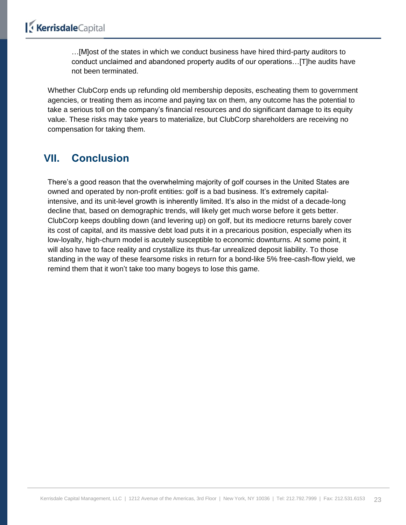…[M]ost of the states in which we conduct business have hired third-party auditors to conduct unclaimed and abandoned property audits of our operations…[T]he audits have not been terminated.

Whether ClubCorp ends up refunding old membership deposits, escheating them to government agencies, or treating them as income and paying tax on them, any outcome has the potential to take a serious toll on the company's financial resources and do significant damage to its equity value. These risks may take years to materialize, but ClubCorp shareholders are receiving no compensation for taking them.

### <span id="page-22-0"></span>**VII. Conclusion**

There's a good reason that the overwhelming majority of golf courses in the United States are owned and operated by non-profit entities: golf is a bad business. It's extremely capitalintensive, and its unit-level growth is inherently limited. It's also in the midst of a decade-long decline that, based on demographic trends, will likely get much worse before it gets better. ClubCorp keeps doubling down (and levering up) on golf, but its mediocre returns barely cover its cost of capital, and its massive debt load puts it in a precarious position, especially when its low-loyalty, high-churn model is acutely susceptible to economic downturns. At some point, it will also have to face reality and crystallize its thus-far unrealized deposit liability. To those standing in the way of these fearsome risks in return for a bond-like 5% free-cash-flow yield, we remind them that it won't take too many bogeys to lose this game.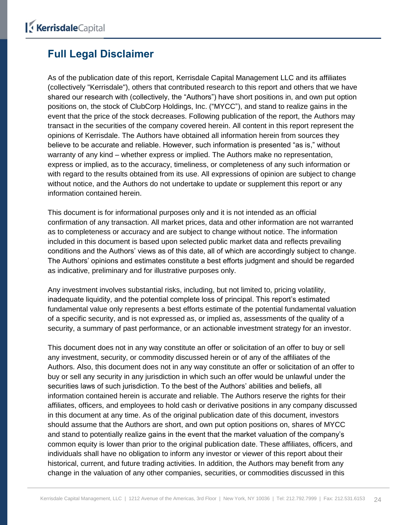### <span id="page-23-0"></span>**Full Legal Disclaimer**

As of the publication date of this report, Kerrisdale Capital Management LLC and its affiliates (collectively "Kerrisdale"), others that contributed research to this report and others that we have shared our research with (collectively, the "Authors") have short positions in, and own put option positions on, the stock of ClubCorp Holdings, Inc. ("MYCC"), and stand to realize gains in the event that the price of the stock decreases. Following publication of the report, the Authors may transact in the securities of the company covered herein. All content in this report represent the opinions of Kerrisdale. The Authors have obtained all information herein from sources they believe to be accurate and reliable. However, such information is presented "as is," without warranty of any kind – whether express or implied. The Authors make no representation, express or implied, as to the accuracy, timeliness, or completeness of any such information or with regard to the results obtained from its use. All expressions of opinion are subject to change without notice, and the Authors do not undertake to update or supplement this report or any information contained herein.

This document is for informational purposes only and it is not intended as an official confirmation of any transaction. All market prices, data and other information are not warranted as to completeness or accuracy and are subject to change without notice. The information included in this document is based upon selected public market data and reflects prevailing conditions and the Authors' views as of this date, all of which are accordingly subject to change. The Authors' opinions and estimates constitute a best efforts judgment and should be regarded as indicative, preliminary and for illustrative purposes only.

Any investment involves substantial risks, including, but not limited to, pricing volatility, inadequate liquidity, and the potential complete loss of principal. This report's estimated fundamental value only represents a best efforts estimate of the potential fundamental valuation of a specific security, and is not expressed as, or implied as, assessments of the quality of a security, a summary of past performance, or an actionable investment strategy for an investor.

This document does not in any way constitute an offer or solicitation of an offer to buy or sell any investment, security, or commodity discussed herein or of any of the affiliates of the Authors. Also, this document does not in any way constitute an offer or solicitation of an offer to buy or sell any security in any jurisdiction in which such an offer would be unlawful under the securities laws of such jurisdiction. To the best of the Authors' abilities and beliefs, all information contained herein is accurate and reliable. The Authors reserve the rights for their affiliates, officers, and employees to hold cash or derivative positions in any company discussed in this document at any time. As of the original publication date of this document, investors should assume that the Authors are short, and own put option positions on, shares of MYCC and stand to potentially realize gains in the event that the market valuation of the company's common equity is lower than prior to the original publication date. These affiliates, officers, and individuals shall have no obligation to inform any investor or viewer of this report about their historical, current, and future trading activities. In addition, the Authors may benefit from any change in the valuation of any other companies, securities, or commodities discussed in this